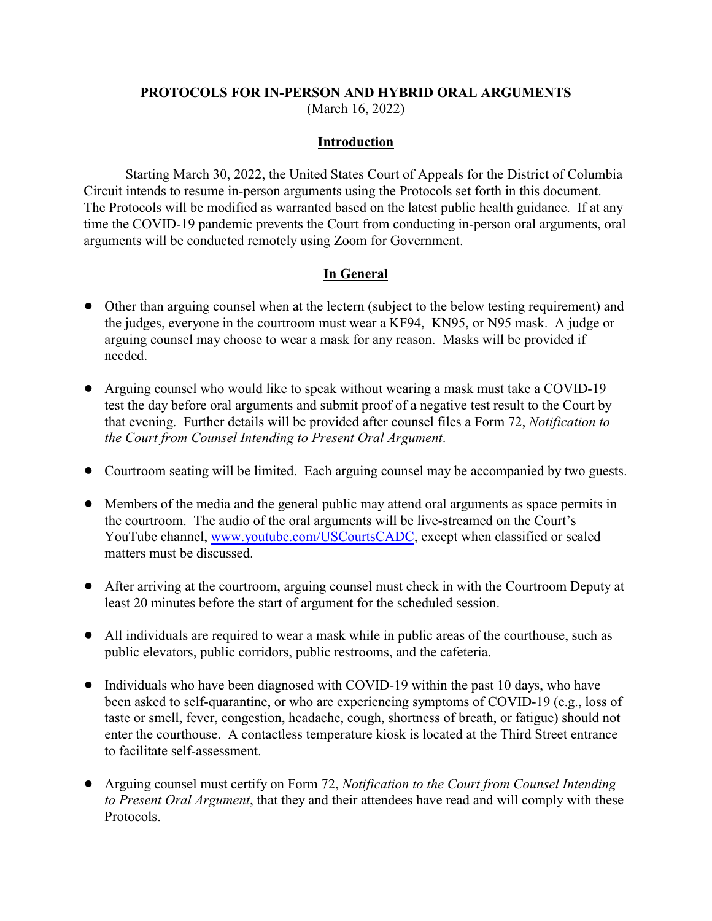### **PROTOCOLS FOR IN-PERSON AND HYBRID ORAL ARGUMENTS**

(March 16, 2022)

### **Introduction**

Starting March 30, 2022, the United States Court of Appeals for the District of Columbia Circuit intends to resume in-person arguments using the Protocols set forth in this document. The Protocols will be modified as warranted based on the latest public health guidance. If at any time the COVID-19 pandemic prevents the Court from conducting in-person oral arguments, oral arguments will be conducted remotely using Zoom for Government.

### **In General**

- ! Other than arguing counsel when at the lectern (subject to the below testing requirement) and the judges, everyone in the courtroom must wear a KF94, KN95, or N95 mask. A judge or arguing counsel may choose to wear a mask for any reason. Masks will be provided if needed.
- ! Arguing counsel who would like to speak without wearing a mask must take a COVID-19 test the day before oral arguments and submit proof of a negative test result to the Court by that evening. Further details will be provided after counsel files a Form 72, *Notification to the Court from Counsel Intending to Present Oral Argument*.
- Courtroom seating will be limited. Each arguing counsel may be accompanied by two guests.
- ! Members of the media and the general public may attend oral arguments as space permits in the courtroom. The audio of the oral arguments will be live-streamed on the Court's YouTube channel, [www.youtube.com/USCourtsCADC](http://www.youtube.com/USCourtsCADC), except when classified or sealed matters must be discussed.
- ! After arriving at the courtroom, arguing counsel must check in with the Courtroom Deputy at least 20 minutes before the start of argument for the scheduled session.
- ! All individuals are required to wear a mask while in public areas of the courthouse, such as public elevators, public corridors, public restrooms, and the cafeteria.
- Individuals who have been diagnosed with COVID-19 within the past 10 days, who have been asked to self-quarantine, or who are experiencing symptoms of COVID-19 (e.g., loss of taste or smell, fever, congestion, headache, cough, shortness of breath, or fatigue) should not enter the courthouse. A contactless temperature kiosk is located at the Third Street entrance to facilitate self-assessment.
- ! Arguing counsel must certify on Form 72, *Notification to the Court from Counsel Intending to Present Oral Argument*, that they and their attendees have read and will comply with these Protocols.